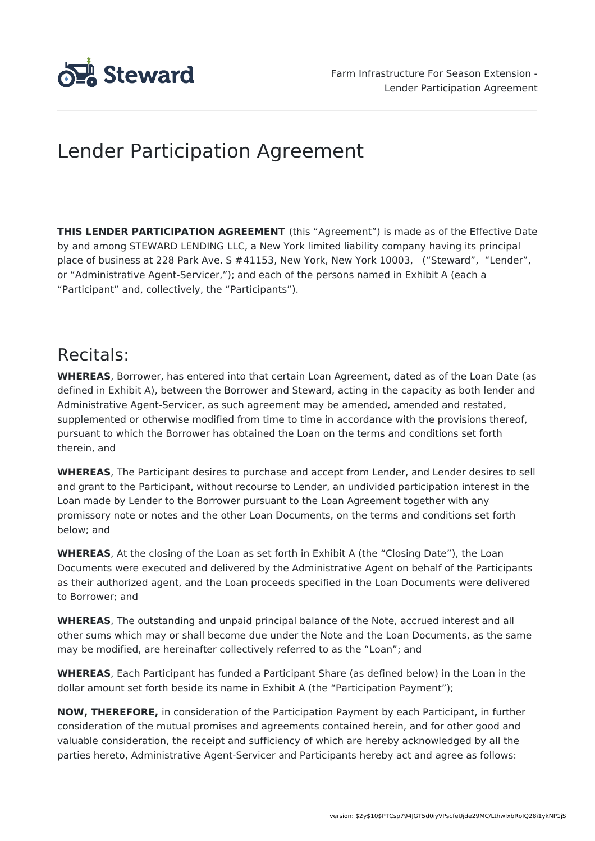

# Lender Participation Agreement

**THIS LENDER PARTICIPATION AGREEMENT** (this "Agreement") is made as of the Effective Date by and among STEWARD LENDING LLC, a New York limited liability company having its principal place of business at 228 Park Ave. S #41153, New York, New York 10003, ("Steward", "Lender", or "Administrative Agent-Servicer,"); and each of the persons named in Exhibit A (each a "Participant" and, collectively, the "Participants").

# Recitals:

**WHEREAS**, Borrower, has entered into that certain Loan Agreement, dated as of the Loan Date (as defined in Exhibit A), between the Borrower and Steward, acting in the capacity as both lender and Administrative Agent-Servicer, as such agreement may be amended, amended and restated, supplemented or otherwise modified from time to time in accordance with the provisions thereof, pursuant to which the Borrower has obtained the Loan on the terms and conditions set forth therein, and

**WHEREAS**, The Participant desires to purchase and accept from Lender, and Lender desires to sell and grant to the Participant, without recourse to Lender, an undivided participation interest in the Loan made by Lender to the Borrower pursuant to the Loan Agreement together with any promissory note or notes and the other Loan Documents, on the terms and conditions set forth below; and

**WHEREAS**, At the closing of the Loan as set forth in Exhibit A (the "Closing Date"), the Loan Documents were executed and delivered by the Administrative Agent on behalf of the Participants as their authorized agent, and the Loan proceeds specified in the Loan Documents were delivered to Borrower; and

**WHEREAS**, The outstanding and unpaid principal balance of the Note, accrued interest and all other sums which may or shall become due under the Note and the Loan Documents, as the same may be modified, are hereinafter collectively referred to as the "Loan"; and

**WHEREAS**, Each Participant has funded a Participant Share (as defined below) in the Loan in the dollar amount set forth beside its name in Exhibit A (the "Participation Payment");

**NOW, THEREFORE,** in consideration of the Participation Payment by each Participant, in further consideration of the mutual promises and agreements contained herein, and for other good and valuable consideration, the receipt and sufficiency of which are hereby acknowledged by all the parties hereto, Administrative Agent-Servicer and Participants hereby act and agree as follows: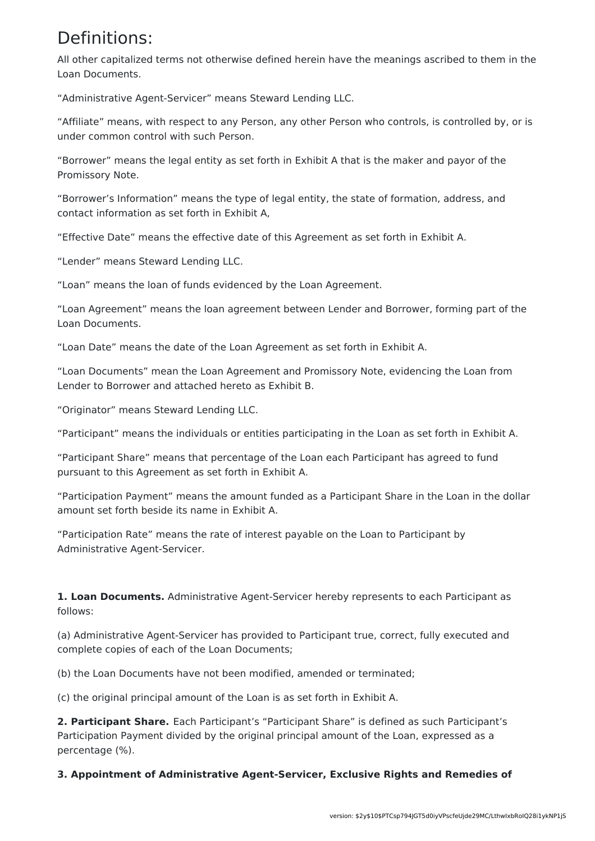## Definitions:

All other capitalized terms not otherwise defined herein have the meanings ascribed to them in the Loan Documents.

"Administrative Agent-Servicer" means Steward Lending LLC.

"Affiliate" means, with respect to any Person, any other Person who controls, is controlled by, or is under common control with such Person.

"Borrower" means the legal entity as set forth in Exhibit A that is the maker and payor of the Promissory Note.

"Borrower's Information" means the type of legal entity, the state of formation, address, and contact information as set forth in Exhibit A,

"Effective Date" means the effective date of this Agreement as set forth in Exhibit A.

"Lender" means Steward Lending LLC.

"Loan" means the loan of funds evidenced by the Loan Agreement.

"Loan Agreement" means the loan agreement between Lender and Borrower, forming part of the Loan Documents.

"Loan Date" means the date of the Loan Agreement as set forth in Exhibit A.

"Loan Documents" mean the Loan Agreement and Promissory Note, evidencing the Loan from Lender to Borrower and attached hereto as Exhibit B.

"Originator" means Steward Lending LLC.

"Participant" means the individuals or entities participating in the Loan as set forth in Exhibit A.

"Participant Share" means that percentage of the Loan each Participant has agreed to fund pursuant to this Agreement as set forth in Exhibit A.

"Participation Payment" means the amount funded as a Participant Share in the Loan in the dollar amount set forth beside its name in Exhibit A.

"Participation Rate" means the rate of interest payable on the Loan to Participant by Administrative Agent-Servicer.

**1. Loan Documents.** Administrative Agent-Servicer hereby represents to each Participant as follows:

(a) Administrative Agent-Servicer has provided to Participant true, correct, fully executed and complete copies of each of the Loan Documents;

(b) the Loan Documents have not been modified, amended or terminated;

(c) the original principal amount of the Loan is as set forth in Exhibit A.

**2. Participant Share.** Each Participant's "Participant Share" is defined as such Participant's Participation Payment divided by the original principal amount of the Loan, expressed as a percentage (%).

**3. Appointment of Administrative Agent-Servicer, Exclusive Rights and Remedies of**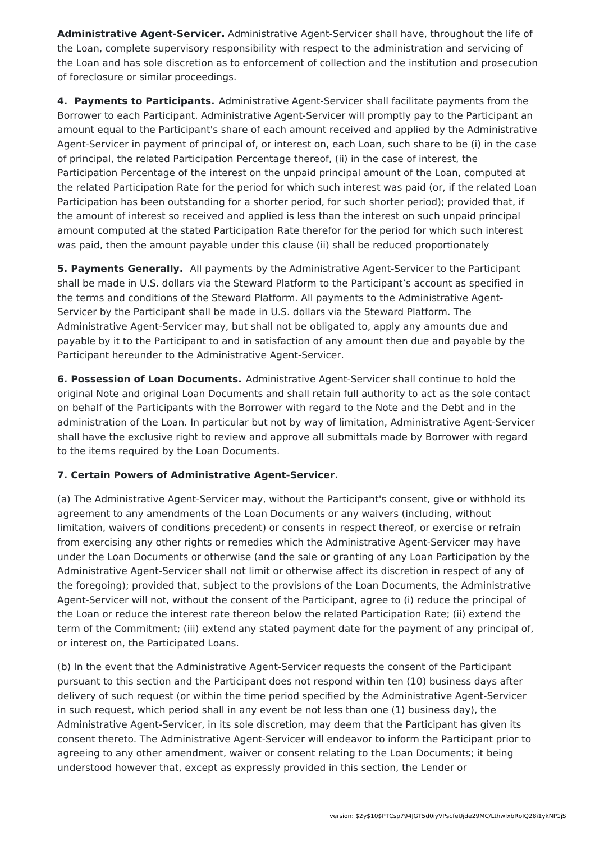**Administrative Agent-Servicer.** Administrative Agent-Servicer shall have, throughout the life of the Loan, complete supervisory responsibility with respect to the administration and servicing of the Loan and has sole discretion as to enforcement of collection and the institution and prosecution of foreclosure or similar proceedings.

**4. Payments to Participants.** Administrative Agent-Servicer shall facilitate payments from the Borrower to each Participant. Administrative Agent-Servicer will promptly pay to the Participant an amount equal to the Participant's share of each amount received and applied by the Administrative Agent-Servicer in payment of principal of, or interest on, each Loan, such share to be (i) in the case of principal, the related Participation Percentage thereof, (ii) in the case of interest, the Participation Percentage of the interest on the unpaid principal amount of the Loan, computed at the related Participation Rate for the period for which such interest was paid (or, if the related Loan Participation has been outstanding for a shorter period, for such shorter period); provided that, if the amount of interest so received and applied is less than the interest on such unpaid principal amount computed at the stated Participation Rate therefor for the period for which such interest was paid, then the amount payable under this clause (ii) shall be reduced proportionately

**5. Payments Generally.** All payments by the Administrative Agent-Servicer to the Participant shall be made in U.S. dollars via the Steward Platform to the Participant's account as specified in the terms and conditions of the Steward Platform. All payments to the Administrative Agent-Servicer by the Participant shall be made in U.S. dollars via the Steward Platform. The Administrative Agent-Servicer may, but shall not be obligated to, apply any amounts due and payable by it to the Participant to and in satisfaction of any amount then due and payable by the Participant hereunder to the Administrative Agent-Servicer.

**6. Possession of Loan Documents.** Administrative Agent-Servicer shall continue to hold the original Note and original Loan Documents and shall retain full authority to act as the sole contact on behalf of the Participants with the Borrower with regard to the Note and the Debt and in the administration of the Loan. In particular but not by way of limitation, Administrative Agent-Servicer shall have the exclusive right to review and approve all submittals made by Borrower with regard to the items required by the Loan Documents.

### **7. Certain Powers of Administrative Agent-Servicer.**

(a) The Administrative Agent-Servicer may, without the Participant's consent, give or withhold its agreement to any amendments of the Loan Documents or any waivers (including, without limitation, waivers of conditions precedent) or consents in respect thereof, or exercise or refrain from exercising any other rights or remedies which the Administrative Agent-Servicer may have under the Loan Documents or otherwise (and the sale or granting of any Loan Participation by the Administrative Agent-Servicer shall not limit or otherwise affect its discretion in respect of any of the foregoing); provided that, subject to the provisions of the Loan Documents, the Administrative Agent-Servicer will not, without the consent of the Participant, agree to (i) reduce the principal of the Loan or reduce the interest rate thereon below the related Participation Rate; (ii) extend the term of the Commitment; (iii) extend any stated payment date for the payment of any principal of, or interest on, the Participated Loans.

(b) In the event that the Administrative Agent-Servicer requests the consent of the Participant pursuant to this section and the Participant does not respond within ten (10) business days after delivery of such request (or within the time period specified by the Administrative Agent-Servicer in such request, which period shall in any event be not less than one (1) business day), the Administrative Agent-Servicer, in its sole discretion, may deem that the Participant has given its consent thereto. The Administrative Agent-Servicer will endeavor to inform the Participant prior to agreeing to any other amendment, waiver or consent relating to the Loan Documents; it being understood however that, except as expressly provided in this section, the Lender or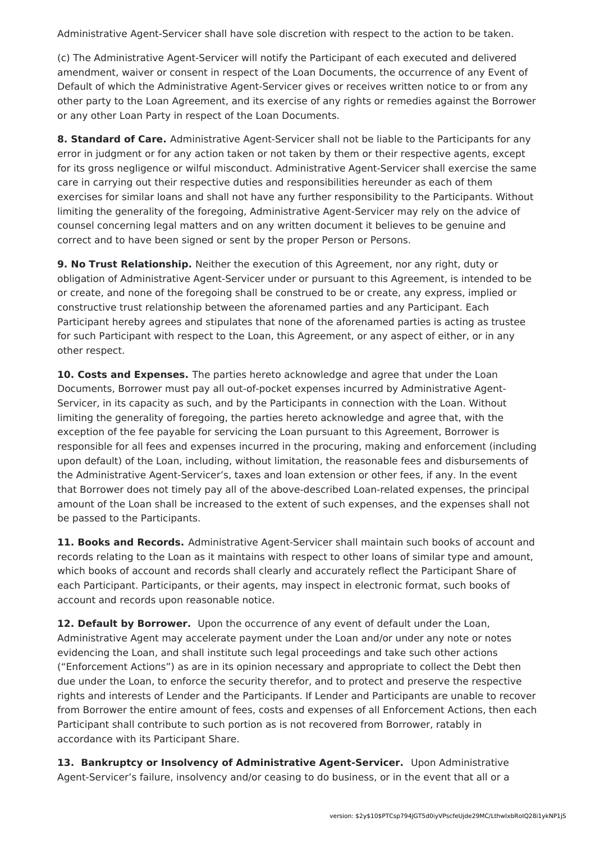Administrative Agent-Servicer shall have sole discretion with respect to the action to be taken.

(c) The Administrative Agent-Servicer will notify the Participant of each executed and delivered amendment, waiver or consent in respect of the Loan Documents, the occurrence of any Event of Default of which the Administrative Agent-Servicer gives or receives written notice to or from any other party to the Loan Agreement, and its exercise of any rights or remedies against the Borrower or any other Loan Party in respect of the Loan Documents.

**8. Standard of Care.** Administrative Agent-Servicer shall not be liable to the Participants for any error in judgment or for any action taken or not taken by them or their respective agents, except for its gross negligence or wilful misconduct. Administrative Agent-Servicer shall exercise the same care in carrying out their respective duties and responsibilities hereunder as each of them exercises for similar loans and shall not have any further responsibility to the Participants. Without limiting the generality of the foregoing, Administrative Agent-Servicer may rely on the advice of counsel concerning legal matters and on any written document it believes to be genuine and correct and to have been signed or sent by the proper Person or Persons.

**9. No Trust Relationship.** Neither the execution of this Agreement, nor any right, duty or obligation of Administrative Agent-Servicer under or pursuant to this Agreement, is intended to be or create, and none of the foregoing shall be construed to be or create, any express, implied or constructive trust relationship between the aforenamed parties and any Participant. Each Participant hereby agrees and stipulates that none of the aforenamed parties is acting as trustee for such Participant with respect to the Loan, this Agreement, or any aspect of either, or in any other respect.

**10. Costs and Expenses.** The parties hereto acknowledge and agree that under the Loan Documents, Borrower must pay all out-of-pocket expenses incurred by Administrative Agent-Servicer, in its capacity as such, and by the Participants in connection with the Loan. Without limiting the generality of foregoing, the parties hereto acknowledge and agree that, with the exception of the fee payable for servicing the Loan pursuant to this Agreement, Borrower is responsible for all fees and expenses incurred in the procuring, making and enforcement (including upon default) of the Loan, including, without limitation, the reasonable fees and disbursements of the Administrative Agent-Servicer's, taxes and loan extension or other fees, if any. In the event that Borrower does not timely pay all of the above-described Loan-related expenses, the principal amount of the Loan shall be increased to the extent of such expenses, and the expenses shall not be passed to the Participants.

**11. Books and Records.** Administrative Agent-Servicer shall maintain such books of account and records relating to the Loan as it maintains with respect to other loans of similar type and amount, which books of account and records shall clearly and accurately reflect the Participant Share of each Participant. Participants, or their agents, may inspect in electronic format, such books of account and records upon reasonable notice.

**12. Default by Borrower.** Upon the occurrence of any event of default under the Loan, Administrative Agent may accelerate payment under the Loan and/or under any note or notes evidencing the Loan, and shall institute such legal proceedings and take such other actions ("Enforcement Actions") as are in its opinion necessary and appropriate to collect the Debt then due under the Loan, to enforce the security therefor, and to protect and preserve the respective rights and interests of Lender and the Participants. If Lender and Participants are unable to recover from Borrower the entire amount of fees, costs and expenses of all Enforcement Actions, then each Participant shall contribute to such portion as is not recovered from Borrower, ratably in accordance with its Participant Share.

**13. Bankruptcy or Insolvency of Administrative Agent-Servicer.** Upon Administrative Agent-Servicer's failure, insolvency and/or ceasing to do business, or in the event that all or a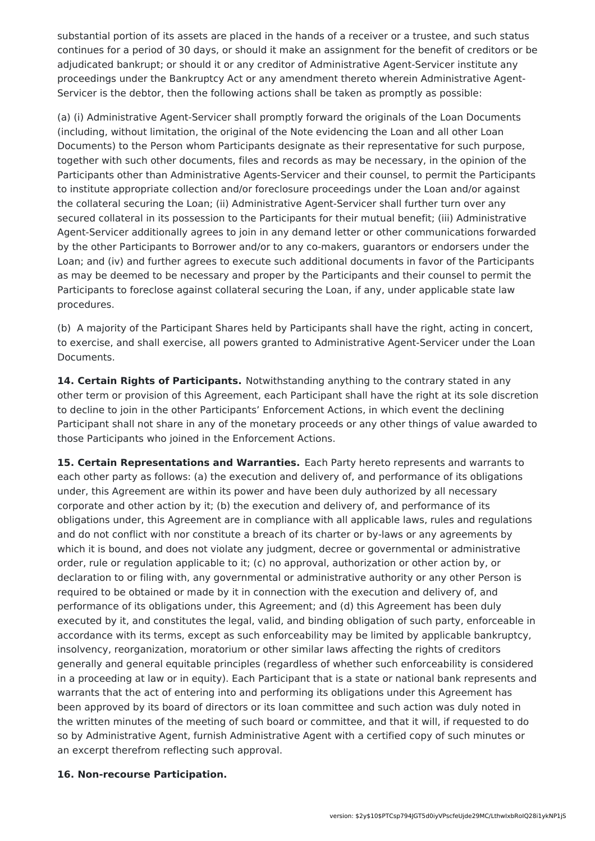substantial portion of its assets are placed in the hands of a receiver or a trustee, and such status continues for a period of 30 days, or should it make an assignment for the benefit of creditors or be adjudicated bankrupt; or should it or any creditor of Administrative Agent-Servicer institute any proceedings under the Bankruptcy Act or any amendment thereto wherein Administrative Agent-Servicer is the debtor, then the following actions shall be taken as promptly as possible:

(a) (i) Administrative Agent-Servicer shall promptly forward the originals of the Loan Documents (including, without limitation, the original of the Note evidencing the Loan and all other Loan Documents) to the Person whom Participants designate as their representative for such purpose, together with such other documents, files and records as may be necessary, in the opinion of the Participants other than Administrative Agents-Servicer and their counsel, to permit the Participants to institute appropriate collection and/or foreclosure proceedings under the Loan and/or against the collateral securing the Loan; (ii) Administrative Agent-Servicer shall further turn over any secured collateral in its possession to the Participants for their mutual benefit; (iii) Administrative Agent-Servicer additionally agrees to join in any demand letter or other communications forwarded by the other Participants to Borrower and/or to any co-makers, guarantors or endorsers under the Loan; and (iv) and further agrees to execute such additional documents in favor of the Participants as may be deemed to be necessary and proper by the Participants and their counsel to permit the Participants to foreclose against collateral securing the Loan, if any, under applicable state law procedures.

(b) A majority of the Participant Shares held by Participants shall have the right, acting in concert, to exercise, and shall exercise, all powers granted to Administrative Agent-Servicer under the Loan Documents.

**14. Certain Rights of Participants.** Notwithstanding anything to the contrary stated in any other term or provision of this Agreement, each Participant shall have the right at its sole discretion to decline to join in the other Participants' Enforcement Actions, in which event the declining Participant shall not share in any of the monetary proceeds or any other things of value awarded to those Participants who joined in the Enforcement Actions.

**15. Certain Representations and Warranties.** Each Party hereto represents and warrants to each other party as follows: (a) the execution and delivery of, and performance of its obligations under, this Agreement are within its power and have been duly authorized by all necessary corporate and other action by it; (b) the execution and delivery of, and performance of its obligations under, this Agreement are in compliance with all applicable laws, rules and regulations and do not conflict with nor constitute a breach of its charter or by-laws or any agreements by which it is bound, and does not violate any judgment, decree or governmental or administrative order, rule or regulation applicable to it; (c) no approval, authorization or other action by, or declaration to or filing with, any governmental or administrative authority or any other Person is required to be obtained or made by it in connection with the execution and delivery of, and performance of its obligations under, this Agreement; and (d) this Agreement has been duly executed by it, and constitutes the legal, valid, and binding obligation of such party, enforceable in accordance with its terms, except as such enforceability may be limited by applicable bankruptcy, insolvency, reorganization, moratorium or other similar laws affecting the rights of creditors generally and general equitable principles (regardless of whether such enforceability is considered in a proceeding at law or in equity). Each Participant that is a state or national bank represents and warrants that the act of entering into and performing its obligations under this Agreement has been approved by its board of directors or its loan committee and such action was duly noted in the written minutes of the meeting of such board or committee, and that it will, if requested to do so by Administrative Agent, furnish Administrative Agent with a certified copy of such minutes or an excerpt therefrom reflecting such approval.

#### **16. Non-recourse Participation.**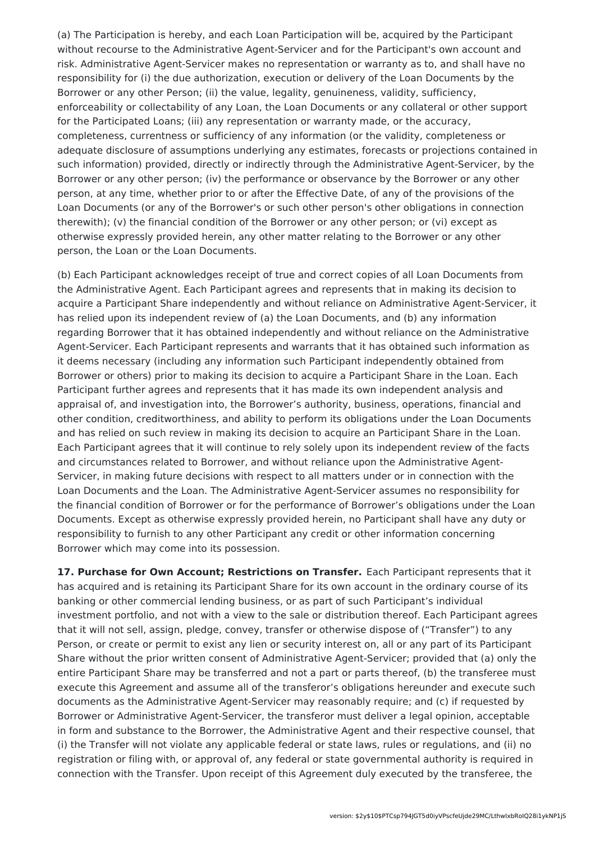(a) The Participation is hereby, and each Loan Participation will be, acquired by the Participant without recourse to the Administrative Agent-Servicer and for the Participant's own account and risk. Administrative Agent-Servicer makes no representation or warranty as to, and shall have no responsibility for (i) the due authorization, execution or delivery of the Loan Documents by the Borrower or any other Person; (ii) the value, legality, genuineness, validity, sufficiency, enforceability or collectability of any Loan, the Loan Documents or any collateral or other support for the Participated Loans; (iii) any representation or warranty made, or the accuracy, completeness, currentness or sufficiency of any information (or the validity, completeness or adequate disclosure of assumptions underlying any estimates, forecasts or projections contained in such information) provided, directly or indirectly through the Administrative Agent-Servicer, by the Borrower or any other person; (iv) the performance or observance by the Borrower or any other person, at any time, whether prior to or after the Effective Date, of any of the provisions of the Loan Documents (or any of the Borrower's or such other person's other obligations in connection therewith); (v) the financial condition of the Borrower or any other person; or (vi) except as otherwise expressly provided herein, any other matter relating to the Borrower or any other person, the Loan or the Loan Documents.

(b) Each Participant acknowledges receipt of true and correct copies of all Loan Documents from the Administrative Agent. Each Participant agrees and represents that in making its decision to acquire a Participant Share independently and without reliance on Administrative Agent-Servicer, it has relied upon its independent review of (a) the Loan Documents, and (b) any information regarding Borrower that it has obtained independently and without reliance on the Administrative Agent-Servicer. Each Participant represents and warrants that it has obtained such information as it deems necessary (including any information such Participant independently obtained from Borrower or others) prior to making its decision to acquire a Participant Share in the Loan. Each Participant further agrees and represents that it has made its own independent analysis and appraisal of, and investigation into, the Borrower's authority, business, operations, financial and other condition, creditworthiness, and ability to perform its obligations under the Loan Documents and has relied on such review in making its decision to acquire an Participant Share in the Loan. Each Participant agrees that it will continue to rely solely upon its independent review of the facts and circumstances related to Borrower, and without reliance upon the Administrative Agent-Servicer, in making future decisions with respect to all matters under or in connection with the Loan Documents and the Loan. The Administrative Agent-Servicer assumes no responsibility for the financial condition of Borrower or for the performance of Borrower's obligations under the Loan Documents. Except as otherwise expressly provided herein, no Participant shall have any duty or responsibility to furnish to any other Participant any credit or other information concerning Borrower which may come into its possession.

**17. Purchase for Own Account; Restrictions on Transfer.** Each Participant represents that it has acquired and is retaining its Participant Share for its own account in the ordinary course of its banking or other commercial lending business, or as part of such Participant's individual investment portfolio, and not with a view to the sale or distribution thereof. Each Participant agrees that it will not sell, assign, pledge, convey, transfer or otherwise dispose of ("Transfer") to any Person, or create or permit to exist any lien or security interest on, all or any part of its Participant Share without the prior written consent of Administrative Agent-Servicer; provided that (a) only the entire Participant Share may be transferred and not a part or parts thereof, (b) the transferee must execute this Agreement and assume all of the transferor's obligations hereunder and execute such documents as the Administrative Agent-Servicer may reasonably require; and (c) if requested by Borrower or Administrative Agent-Servicer, the transferor must deliver a legal opinion, acceptable in form and substance to the Borrower, the Administrative Agent and their respective counsel, that (i) the Transfer will not violate any applicable federal or state laws, rules or regulations, and (ii) no registration or filing with, or approval of, any federal or state governmental authority is required in connection with the Transfer. Upon receipt of this Agreement duly executed by the transferee, the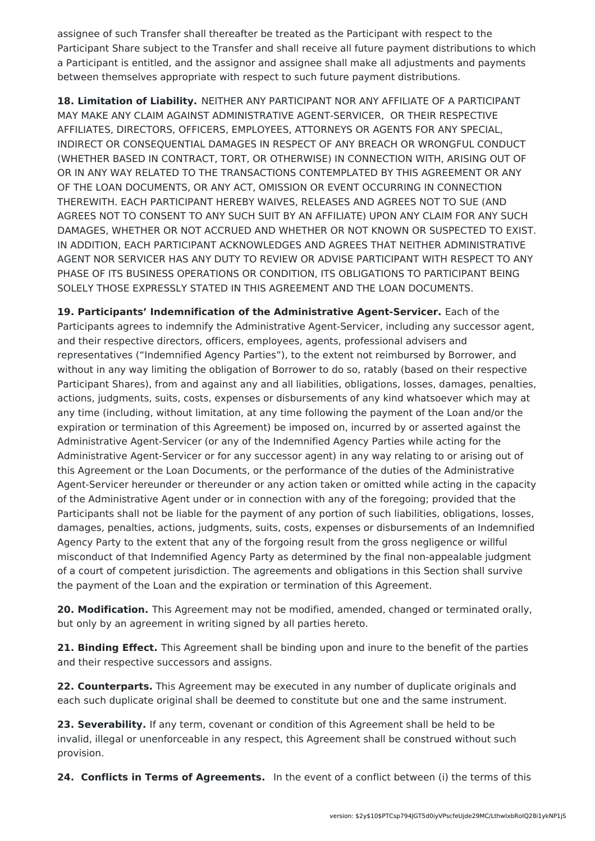assignee of such Transfer shall thereafter be treated as the Participant with respect to the Participant Share subject to the Transfer and shall receive all future payment distributions to which a Participant is entitled, and the assignor and assignee shall make all adjustments and payments between themselves appropriate with respect to such future payment distributions.

**18. Limitation of Liability.** NEITHER ANY PARTICIPANT NOR ANY AFFILIATE OF A PARTICIPANT MAY MAKE ANY CLAIM AGAINST ADMINISTRATIVE AGENT-SERVICER, OR THEIR RESPECTIVE AFFILIATES, DIRECTORS, OFFICERS, EMPLOYEES, ATTORNEYS OR AGENTS FOR ANY SPECIAL, INDIRECT OR CONSEQUENTIAL DAMAGES IN RESPECT OF ANY BREACH OR WRONGFUL CONDUCT (WHETHER BASED IN CONTRACT, TORT, OR OTHERWISE) IN CONNECTION WITH, ARISING OUT OF OR IN ANY WAY RELATED TO THE TRANSACTIONS CONTEMPLATED BY THIS AGREEMENT OR ANY OF THE LOAN DOCUMENTS, OR ANY ACT, OMISSION OR EVENT OCCURRING IN CONNECTION THEREWITH. EACH PARTICIPANT HEREBY WAIVES, RELEASES AND AGREES NOT TO SUE (AND AGREES NOT TO CONSENT TO ANY SUCH SUIT BY AN AFFILIATE) UPON ANY CLAIM FOR ANY SUCH DAMAGES, WHETHER OR NOT ACCRUED AND WHETHER OR NOT KNOWN OR SUSPECTED TO EXIST. IN ADDITION, EACH PARTICIPANT ACKNOWLEDGES AND AGREES THAT NEITHER ADMINISTRATIVE AGENT NOR SERVICER HAS ANY DUTY TO REVIEW OR ADVISE PARTICIPANT WITH RESPECT TO ANY PHASE OF ITS BUSINESS OPERATIONS OR CONDITION, ITS OBLIGATIONS TO PARTICIPANT BEING SOLELY THOSE EXPRESSLY STATED IN THIS AGREEMENT AND THE LOAN DOCUMENTS.

**19. Participants' Indemnification of the Administrative Agent-Servicer.** Each of the Participants agrees to indemnify the Administrative Agent-Servicer, including any successor agent, and their respective directors, officers, employees, agents, professional advisers and representatives ("Indemnified Agency Parties"), to the extent not reimbursed by Borrower, and without in any way limiting the obligation of Borrower to do so, ratably (based on their respective Participant Shares), from and against any and all liabilities, obligations, losses, damages, penalties, actions, judgments, suits, costs, expenses or disbursements of any kind whatsoever which may at any time (including, without limitation, at any time following the payment of the Loan and/or the expiration or termination of this Agreement) be imposed on, incurred by or asserted against the Administrative Agent-Servicer (or any of the Indemnified Agency Parties while acting for the Administrative Agent-Servicer or for any successor agent) in any way relating to or arising out of this Agreement or the Loan Documents, or the performance of the duties of the Administrative Agent-Servicer hereunder or thereunder or any action taken or omitted while acting in the capacity of the Administrative Agent under or in connection with any of the foregoing; provided that the Participants shall not be liable for the payment of any portion of such liabilities, obligations, losses, damages, penalties, actions, judgments, suits, costs, expenses or disbursements of an Indemnified Agency Party to the extent that any of the forgoing result from the gross negligence or willful misconduct of that Indemnified Agency Party as determined by the final non-appealable judgment of a court of competent jurisdiction. The agreements and obligations in this Section shall survive the payment of the Loan and the expiration or termination of this Agreement.

**20. Modification.** This Agreement may not be modified, amended, changed or terminated orally, but only by an agreement in writing signed by all parties hereto.

**21. Binding Effect.** This Agreement shall be binding upon and inure to the benefit of the parties and their respective successors and assigns.

**22. Counterparts.** This Agreement may be executed in any number of duplicate originals and each such duplicate original shall be deemed to constitute but one and the same instrument.

**23. Severability.** If any term, covenant or condition of this Agreement shall be held to be invalid, illegal or unenforceable in any respect, this Agreement shall be construed without such provision.

**24. Conflicts in Terms of Agreements.** In the event of a conflict between (i) the terms of this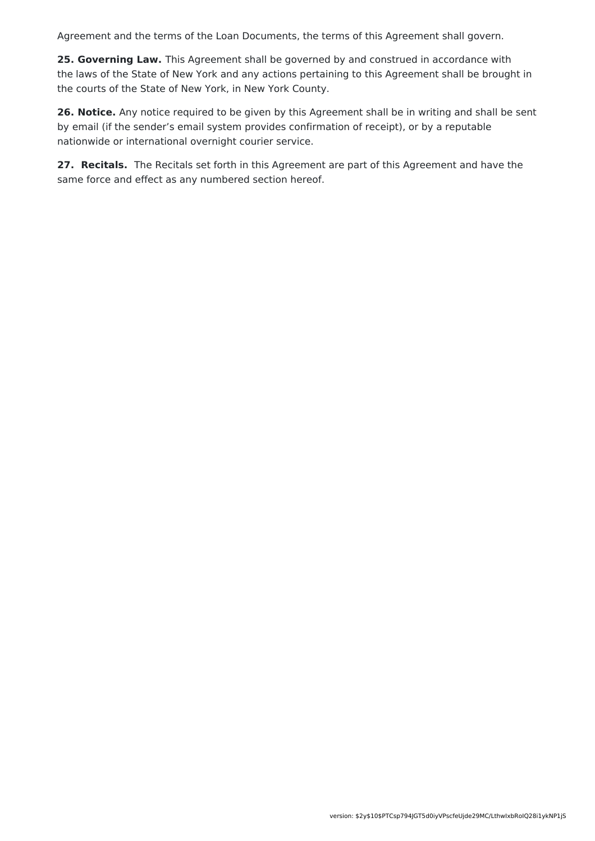Agreement and the terms of the Loan Documents, the terms of this Agreement shall govern.

**25. Governing Law.** This Agreement shall be governed by and construed in accordance with the laws of the State of New York and any actions pertaining to this Agreement shall be brought in the courts of the State of New York, in New York County.

**26. Notice.** Any notice required to be given by this Agreement shall be in writing and shall be sent by email (if the sender's email system provides confirmation of receipt), or by a reputable nationwide or international overnight courier service.

**27. Recitals.** The Recitals set forth in this Agreement are part of this Agreement and have the same force and effect as any numbered section hereof.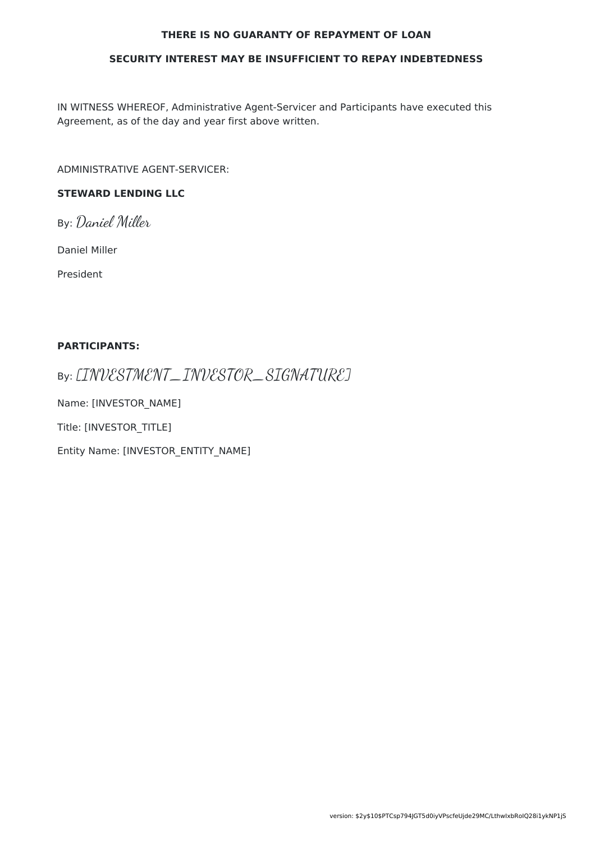#### **THERE IS NO GUARANTY OF REPAYMENT OF LOAN**

#### **SECURITY INTEREST MAY BE INSUFFICIENT TO REPAY INDEBTEDNESS**

IN WITNESS WHEREOF, Administrative Agent-Servicer and Participants have executed this Agreement, as of the day and year first above written.

ADMINISTRATIVE AGENT-SERVICER:

### **STEWARD LENDING LLC**

By: Daniel Miller

Daniel Miller

President

#### **PARTICIPANTS:**

By: [INVESTMENT\_INVESTOR\_SIGNATURE]

Name: [INVESTOR\_NAME]

Title: [INVESTOR\_TITLE]

Entity Name: [INVESTOR\_ENTITY\_NAME]